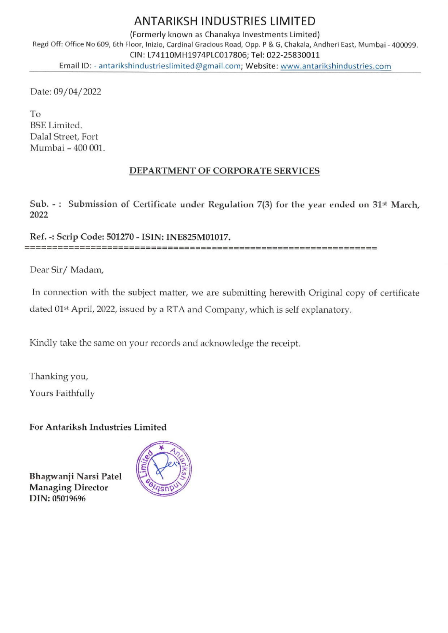## ANTARIKSH INDUSTRIES LIMITED

(Formerly known as Chanakya Investments Limited) Regd Off: Office No 609, 6th Floor, Inizio, Cardinal Gracious Road, Opp. P & G, Chakala, Andheri East, Mumbai - 400099. CIN: L74110MH1974PLCO17806; Tel: 022-25830011 ANTARIKSH INDU<br>Regd Off: Office No 609, 6th Floor, Inizio, Cardinal Gracious<br>CIN: L74110MH1974PLCO.<br>Email ID: - antarikshindustrieslimited@gmail. Email ID: - antarikshindustrieslimited@gmail.com; Website: www.antarikshindustries.com ANTARIKSH INDU<br>(Formerly known as Chani<br>loor, Inizio, Cardinal Gracious<br>CIN: L74110MH1974PLCO<br>hindustrieslimited@gmail.<br>DEPARTMENT OF CC

Date: 09/04/2022

To BSE Limited. Dalal Street, Fort Mumbai - 400 001.

## DEPARTMENT OF CORPORATE SERVICES

Sub. -: Submission of Certificate under Regulation 7(3) for the year ended on  $31<sup>st</sup>$  March, 2022

Ref. -: Scrip Code: 501270 - ISIN: INE825M01017. 

Dear Sir/ Madam,

In connection with the subject matter, we are submitting herewith Original copy of certificate dated 01<sup>st</sup> April, 2022, issued by a RTA and Company, which is self explanatory.

Kindly take the same on your records and acknowledge the receipt.

Thanking you,

Yours Faithfully

For Antariksh Industries Limited

Bhagwanji Narsi Patel Managing Director DIN: 05019696